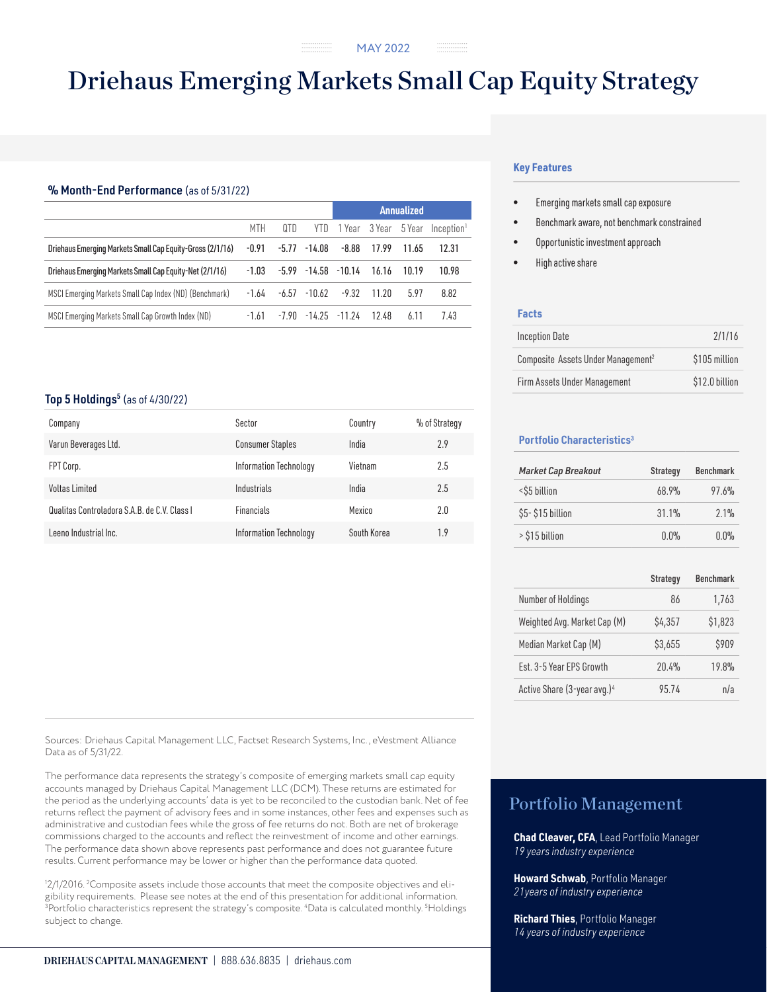# Driehaus Emerging Markets Small Cap Equity Strategy

## % Month-End Performance (as of 5/31/22)

|                                                           | MTH     | QTD   | YTD              | 1 Year 3 Year 5 Year              |               |       | Inception <sup>1</sup> |
|-----------------------------------------------------------|---------|-------|------------------|-----------------------------------|---------------|-------|------------------------|
| Driehaus Emerging Markets Small Cap Equity-Gross (2/1/16) | $-0.91$ |       | $-5.77 - 14.08$  |                                   | $-8.88$ 17.99 | 11.65 | 12.31                  |
| Driehaus Emerging Markets Small Cap Equity-Net (2/1/16)   | $-1.03$ |       |                  | $-5.99$ $-14.58$ $-10.14$ $16.16$ |               | 10.19 | 10.98                  |
| MSCI Emerging Markets Small Cap Index (ND) (Benchmark)    | $-1.64$ |       | -6.57 -10.62     |                                   | $-9.32$ 11.20 | 5.97  | 8.82                   |
| MSCI Emerging Markets Small Cap Growth Index (ND)         | $-1.61$ | -7.90 | $-14.25 - 11.24$ |                                   | 12.48         | 6.11  | 7.43                   |

## Top 5 Holdings $<sup>5</sup>$  (as of 4/30/22)</sup>

| Company                                      | Sector                  | Country     | % of Strategy |
|----------------------------------------------|-------------------------|-------------|---------------|
| Varun Beverages Ltd.                         | <b>Consumer Staples</b> | India       | 2.9           |
| FPT Corp.                                    | Information Technology  | Vietnam     | 2.5           |
| Voltas Limited                               | Industrials             | India       | 2.5           |
| Qualitas Controladora S.A.B. de C.V. Class I | <b>Financials</b>       | Mexico      | 2.0           |
| Leeno Industrial Inc.                        | Information Technology  | South Korea | 1.9           |

Sources: Driehaus Capital Management LLC, Factset Research Systems, Inc., eVestment Alliance Data as of 5/31/22.

The performance data represents the strategy's composite of emerging markets small cap equity accounts managed by Driehaus Capital Management LLC (DCM). These returns are estimated for the period as the underlying accounts' data is yet to be reconciled to the custodian bank. Net of fee returns reflect the payment of advisory fees and in some instances, other fees and expenses such as administrative and custodian fees while the gross of fee returns do not. Both are net of brokerage commissions charged to the accounts and reflect the reinvestment of income and other earnings. The performance data shown above represents past performance and does not guarantee future results. Current performance may be lower or higher than the performance data quoted.

1 2/1/2016. 2 Composite assets include those accounts that meet the composite objectives and eligibility requirements. Please see notes at the end of this presentation for additional information.  $^3$ Portfolio characteristics represent the strategy's composite.  $^4$ Data is calculated monthly.  $^5$ Holdings subject to change.

## **Key Features**

- Emerging markets small cap exposure
- Benchmark aware, not benchmark constrained
- Opportunistic investment approach
- High active share

## **Facts**

| <b>Inception Date</b>                          | 2/1/16         |
|------------------------------------------------|----------------|
| Composite Assets Under Management <sup>2</sup> | \$105 million  |
| Firm Assets Under Management                   | \$12.0 billion |

## **Portfolio Characteristics3**

| <b>Market Cap Breakout</b> | Strategy | <b>Benchmark</b> |
|----------------------------|----------|------------------|
| <\$5 billion               | 68.9%    | 97.6%            |
| \$5-\$15 billion           | 31.1%    | 2.1%             |
| > \$15 billion             | 0.0%     | $0.0\%$          |

|                                         | <b>Strategy</b> | <b>Benchmark</b> |
|-----------------------------------------|-----------------|------------------|
| Number of Holdings                      | 86              | 1,763            |
| Weighted Avg. Market Cap (M)            | \$4,357         | \$1,823          |
| Median Market Cap (M)                   | \$3,655         | \$909            |
| Est. 3-5 Year EPS Growth                | 20.4%           | 19.8%            |
| Active Share (3-year avg.) <sup>4</sup> | 95.74           | n/a              |

# Portfolio Management

**Chad Cleaver, CFA**, Lead Portfolio Manager *19 years industry experience*

**Howard Schwab**, Portfolio Manager *21years of industry experience*

**Richard Thies**, Portfolio Manager *14 years of industry experience*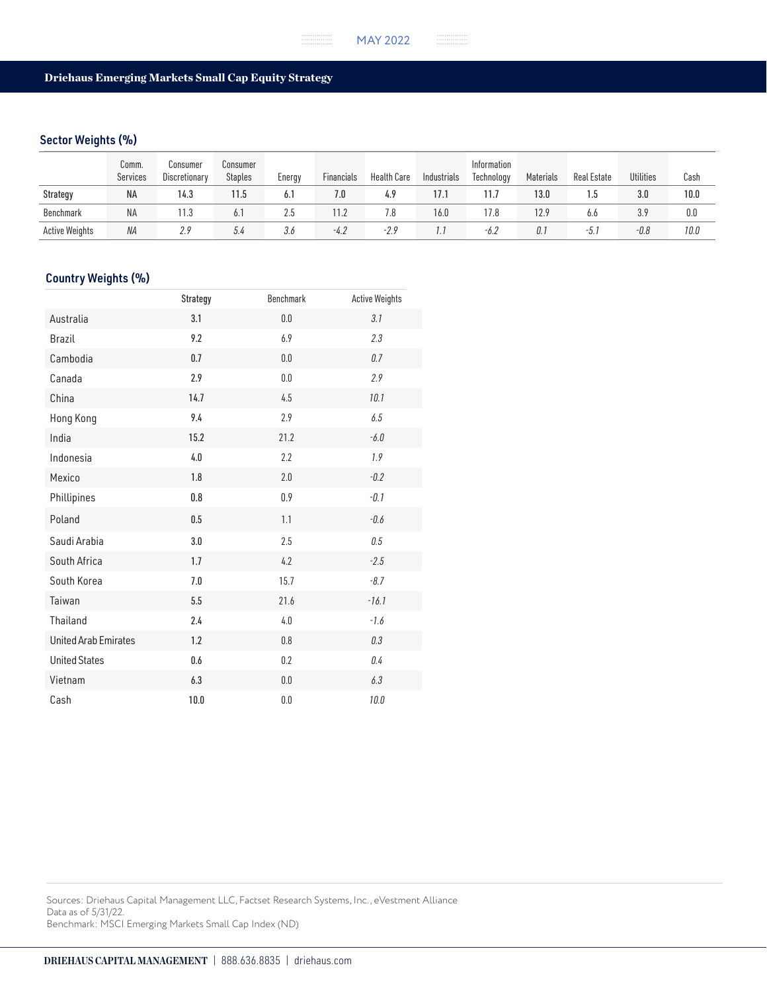## Driehaus Emerging Markets Small Cap Equity Strategy

## Sector Weights (%)

|                       | Comm.<br>Services | Consumer<br>Discretionary | Consumer<br><b>Staples</b> | Energy | <b>Financials</b> | <b>Health Care</b> | Industrials | Information<br>Technology | Materials | Real Estate | Utilities | Cash |
|-----------------------|-------------------|---------------------------|----------------------------|--------|-------------------|--------------------|-------------|---------------------------|-----------|-------------|-----------|------|
| Strategy              | <b>NA</b>         | 14.3                      | 11.5                       | 6.1    | 7.0               | 4.9                | 17.1        | 11.7                      | 13.0      |             | 3.0       | 10.0 |
| Benchmark             | NA                | 11.3                      | 6.1                        | 2.5    | 1.2               |                    | 16.0        | 17.8                      | 12.9      | 6.6         | 3.9       | 0.0  |
| <b>Active Weights</b> | ΝA                | 2.9                       | 5.4                        | 3.6    | $-4.2$            | $-2.9$             | l.l         | -6.2                      | 0.1       | -5.         | $-0.8$    | 10.0 |

## Country Weights (%)

|                             | Strategy | <b>Benchmark</b> | <b>Active Weights</b> |
|-----------------------------|----------|------------------|-----------------------|
| Australia                   | 3.1      | $0.0\,$          | 3.1                   |
| <b>Brazil</b>               | 9.2      | 6.9              | 2.3                   |
| Cambodia                    | 0.7      | 0.0              | 0.7                   |
| Canada                      | 2.9      | 0.0              | 2.9                   |
| China                       | 14.7     | 4.5              | 10.1                  |
| Hong Kong                   | 9.4      | 2.9              | 6.5                   |
| India                       | 15.2     | 21.2             | $-6.0$                |
| Indonesia                   | 4.0      | 2.2              | 1.9                   |
| Mexico                      | 1.8      | 2.0              | $-0.2$                |
| Phillipines                 | $0.8\,$  | 0.9              | $-0.1$                |
| Poland                      | 0.5      | 1.1              | $-0.6$                |
| Saudi Arabia                | 3.0      | 2.5              | 0.5                   |
| South Africa                | 1.7      | 4.2              | $-2.5$                |
| South Korea                 | 7.0      | 15.7             | $-8.7$                |
| Taiwan                      | 5.5      | 21.6             | $-16.1$               |
| Thailand                    | 2.4      | 4.0              | $-1.6$                |
| <b>United Arab Emirates</b> | 1.2      | $0.8\,$          | 0.3                   |
| <b>United States</b>        | 0.6      | 0.2              | 0.4                   |
| Vietnam                     | 6.3      | $0.0\,$          | 6.3                   |
| Cash                        | 10.0     | $0.0\,$          | 10.0                  |

Sources: Driehaus Capital Management LLC, Factset Research Systems, Inc., eVestment Alliance Data as of 5/31/22. Benchmark: MSCI Emerging Markets Small Cap Index (ND)